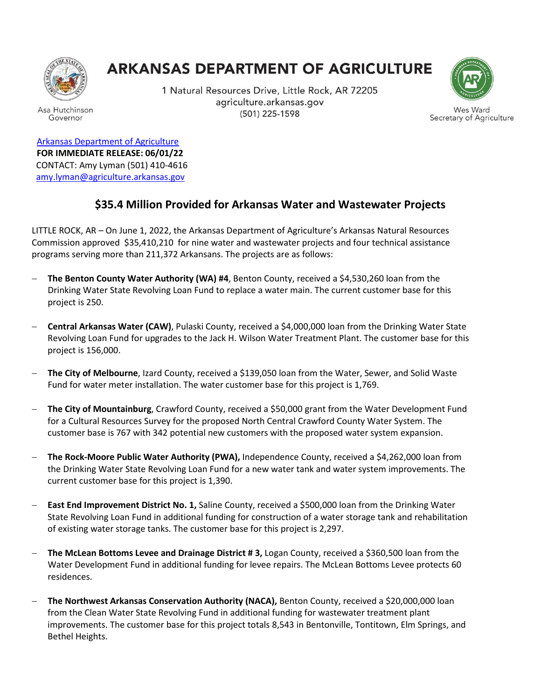

Asa Hutchinson

Governor

## **ARKANSAS DEPARTMENT OF AGRICULTURE**

1 Natural Resources Drive, Little Rock, AR 72205 agriculture.arkansas.gov (501) 225-1598



Wes Ward Secretary of Agriculture

[Arkansas Department of Agriculture](https://www.agriculture.arkansas.gov/) **FOR IMMEDIATE RELEASE: 06/01/22** CONTACT: Amy Lyman (501) 410-4616 [amy.lyman@agriculture.arkansas.gov](mailto:amy.lyman@agriculture.arkansas.gov)

## **\$35.4 Million Provided for Arkansas Water and Wastewater Projects**

LITTLE ROCK, AR – On June 1, 2022, the Arkansas Department of Agriculture's Arkansas Natural Resources Commission approved \$35,410,210 for nine water and wastewater projects and four technical assistance programs serving more than 211,372 Arkansans. The projects are as follows:

- − **The Benton County Water Authority (WA) #4**, Benton County, received a \$4,530,260 loan from the Drinking Water State Revolving Loan Fund to replace a water main. The current customer base for this project is 250.
- − **Central Arkansas Water (CAW)**, Pulaski County, received a \$4,000,000 loan from the Drinking Water State Revolving Loan Fund for upgrades to the Jack H. Wilson Water Treatment Plant. The customer base for this project is 156,000.
- − **The City of Melbourne**, Izard County, received a \$139,050 loan from the Water, Sewer, and Solid Waste Fund for water meter installation. The water customer base for this project is 1,769.
- − **The City of Mountainburg**, Crawford County, received a \$50,000 grant from the Water Development Fund for a Cultural Resources Survey for the proposed North Central Crawford County Water System. The customer base is 767 with 342 potential new customers with the proposed water system expansion.
- − **The Rock-Moore Public Water Authority (PWA),** Independence County, received a \$4,262,000 loan from the Drinking Water State Revolving Loan Fund for a new water tank and water system improvements. The current customer base for this project is 1,390.
- − **East End Improvement District No. 1,** Saline County, received a \$500,000 loan from the Drinking Water State Revolving Loan Fund in additional funding for construction of a water storage tank and rehabilitation of existing water storage tanks. The customer base for this project is 2,297.
- − **The McLean Bottoms Levee and Drainage District # 3,** Logan County, received a \$360,500 loan from the Water Development Fund in additional funding for levee repairs. The McLean Bottoms Levee protects 60 residences.
- − **The Northwest Arkansas Conservation Authority (NACA),** Benton County, received a \$20,000,000 loan from the Clean Water State Revolving Fund in additional funding for wastewater treatment plant improvements. The customer base for this project totals 8,543 in Bentonville, Tontitown, Elm Springs, and Bethel Heights.